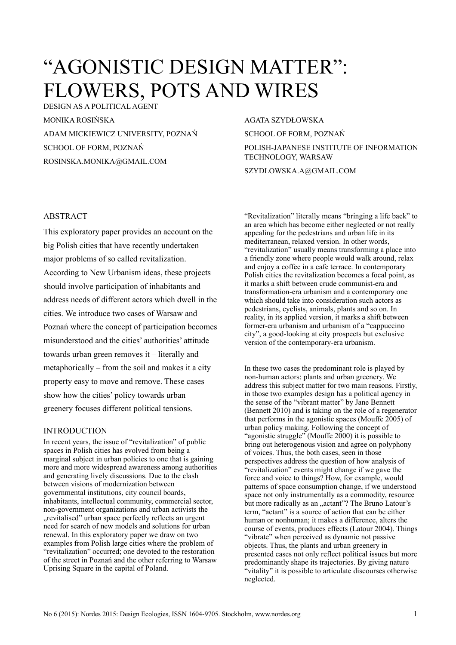# "AGONISTIC DESIGN MATTER": FLOWERS, POTS AND WIRES

DESIGN AS A POLITICAL AGENT MONIKA ROSIŃSKA ADAM MICKIEWICZ UNIVERSITY, POZNAŃ SCHOOL OF FORM, POZNAŃ ROSINSKA.MONIKA@GMAIL.COM

#### AGATA SZYDŁOWSKA

SCHOOL OF FORM, POZNAŃ POLISH-JAPANESE INSTITUTE OF INFORMATION TECHNOLOGY, WARSAW

SZYDLOWSKA.A@GMAIL.COM

# ABSTRACT

This exploratory paper provides an account on the big Polish cities that have recently undertaken major problems of so called revitalization. According to New Urbanism ideas, these projects should involve participation of inhabitants and address needs of different actors which dwell in the cities. We introduce two cases of Warsaw and Poznań where the concept of participation becomes misunderstood and the cities' authorities' attitude towards urban green removes it – literally and metaphorically – from the soil and makes it a city property easy to move and remove. These cases show how the cities' policy towards urban greenery focuses different political tensions.

# INTRODUCTION

In recent years, the issue of "revitalization" of public spaces in Polish cities has evolved from being a marginal subject in urban policies to one that is gaining more and more widespread awareness among authorities and generating lively discussions. Due to the clash between visions of modernization between governmental institutions, city council boards, inhabitants, intellectual community, commercial sector, non-government organizations and urban activists the ... revitalised" urban space perfectly reflects an urgent need for search of new models and solutions for urban renewal. In this exploratory paper we draw on two examples from Polish large cities where the problem of "revitalization" occurred; one devoted to the restoration of the street in Poznań and the other referring to Warsaw Uprising Square in the capital of Poland.

"Revitalization" literally means "bringing a life back" to an area which has become either neglected or not really appealing for the pedestrians and urban life in its mediterranean, relaxed version. In other words, "revitalization" usually means transforming a place into a friendly zone where people would walk around, relax and enjoy a coffee in a cafe terrace. In contemporary Polish cities the revitalization becomes a focal point, as it marks a shift between crude communist-era and transformation-era urbanism and a contemporary one which should take into consideration such actors as pedestrians, cyclists, animals, plants and so on. In reality, in its applied version, it marks a shift between former-era urbanism and urbanism of a "cappuccino city", a good-looking at city prospects but exclusive version of the contemporary-era urbanism.

In these two cases the predominant role is played by non-human actors: plants and urban greenery. We address this subject matter for two main reasons. Firstly, in those two examples design has a political agency in the sense of the "vibrant matter" by Jane Bennett (Bennett 2010) and is taking on the role of a regenerator that performs in the agonistic spaces (Mouffe 2005) of urban policy making. Following the concept of "agonistic struggle" (Mouffe 2000) it is possible to bring out heterogenous vision and agree on polyphony of voices. Thus, the both cases, seen in those perspectives address the question of how analysis of "revitalization" events might change if we gave the force and voice to things? How, for example, would patterns of space consumption change, if we understood space not only instrumentally as a commodity, resource but more radically as an "actant"? The Bruno Latour's term, "actant" is a source of action that can be either human or nonhuman; it makes a difference, alters the course of events, produces effects (Latour 2004). Things "vibrate" when perceived as dynamic not passive objects. Thus, the plants and urban greenery in presented cases not only reflect political issues but more predominantly shape its trajectories. By giving nature "vitality" it is possible to articulate discourses otherwise neglected.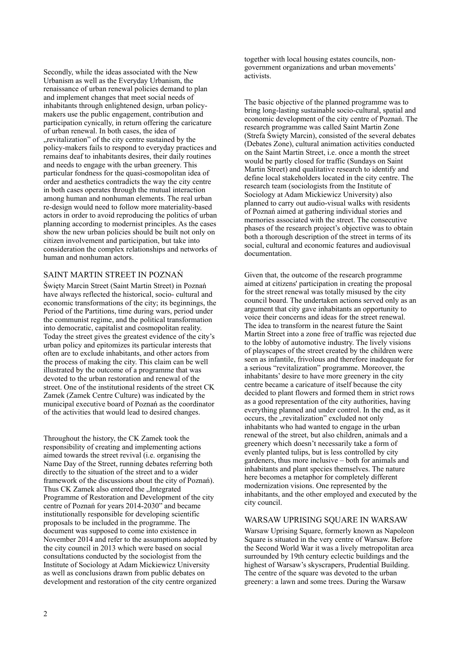Secondly, while the ideas associated with the New Urbanism as well as the Everyday Urbanism, the renaissance of urban renewal policies demand to plan and implement changes that meet social needs of inhabitants through enlightened design, urban policymakers use the public engagement, contribution and participation cynically, in return offering the caricature of urban renewal. In both cases, the idea of ... revitalization" of the city centre sustained by the policy-makers fails to respond to everyday practices and remains deaf to inhabitants desires, their daily routines and needs to engage with the urban greenery. This particular fondness for the quasi-cosmopolitan idea of order and aesthetics contradicts the way the city centre in both cases operates through the mutual interaction among human and nonhuman elements. The real urban re-design would need to follow more materiality-based actors in order to avoid reproducing the politics of urban planning according to modernist principles. As the cases show the new urban policies should be built not only on citizen involvement and participation, but take into consideration the complex relationships and networks of human and nonhuman actors.

# SAINT MARTIN STREET IN POZNAŃ

Święty Marcin Street (Saint Martin Street) in Poznań have always reflected the historical, socio- cultural and economic transformations of the city; its beginnings, the Period of the Partitions, time during wars, period under the communist regime, and the political transformation into democratic, capitalist and cosmopolitan reality. Today the street gives the greatest evidence of the city's urban policy and epitomizes its particular interests that often are to exclude inhabitants, and other actors from the process of making the city. This claim can be well illustrated by the outcome of a programme that was devoted to the urban restoration and renewal of the street. One of the institutional residents of the street CK Zamek (Zamek Centre Culture) was indicated by the municipal executive board of Poznań as the coordinator of the activities that would lead to desired changes.

Throughout the history, the CK Zamek took the responsibility of creating and implementing actions aimed towards the street revival (i.e. organising the Name Day of the Street, running debates referring both directly to the situation of the street and to a wider framework of the discussions about the city of Poznań). Thus CK Zamek also entered the "Integrated Programme of Restoration and Development of the city centre of Poznań for years 2014-2030" and became institutionally responsible for developing scientific proposals to be included in the programme. The document was supposed to come into existence in November 2014 and refer to the assumptions adopted by the city council in 2013 which were based on social consultations conducted by the sociologist from the Institute of Sociology at Adam Mickiewicz University as well as conclusions drawn from public debates on development and restoration of the city centre organized

together with local housing estates councils, nongovernment organizations and urban movements' activists.

The basic objective of the planned programme was to bring long-lasting sustainable socio-cultural, spatial and economic development of the city centre of Poznań. The research programme was called Saint Martin Zone (Strefa Święty Marcin), consisted of the several debates (Debates Zone), cultural animation activities conducted on the Saint Martin Street, i.e. once a month the street would be partly closed for traffic (Sundays on Saint Martin Street) and qualitative research to identify and define local stakeholders located in the city centre. The research team (sociologists from the Institute of Sociology at Adam Mickiewicz University) also planned to carry out audio-visual walks with residents of Poznań aimed at gathering individual stories and memories associated with the street. The consecutive phases of the research project's objective was to obtain both a thorough description of the street in terms of its social, cultural and economic features and audiovisual documentation.

Given that, the outcome of the research programme aimed at citizens' participation in creating the proposal for the street renewal was totally misused by the city council board. The undertaken actions served only as an argument that city gave inhabitants an opportunity to voice their concerns and ideas for the street renewal. The idea to transform in the nearest future the Saint Martin Street into a zone free of traffic was rejected due to the lobby of automotive industry. The lively visions of playscapes of the street created by the children were seen as infantile, frivolous and therefore inadequate for a serious "revitalization" programme. Moreover, the inhabitants' desire to have more greenery in the city centre became a caricature of itself because the city decided to plant flowers and formed them in strict rows as a good representation of the city authorities, having everything planned and under control. In the end, as it occurs, the "revitalization" excluded not only inhabitants who had wanted to engage in the urban renewal of the street, but also children, animals and a greenery which doesn't necessarily take a form of evenly planted tulips, but is less controlled by city gardeners, thus more inclusive – both for animals and inhabitants and plant species themselves. The nature here becomes a metaphor for completely different modernization visions. One represented by the inhabitants, and the other employed and executed by the city council.

### WARSAW UPRISING SQUARE IN WARSAW

Warsaw Uprising Square, formerly known as Napoleon Square is situated in the very centre of Warsaw. Before the Second World War it was a lively metropolitan area surrounded by 19th century eclectic buildings and the highest of Warsaw's skyscrapers, Prudential Building. The centre of the square was devoted to the urban greenery: a lawn and some trees. During the Warsaw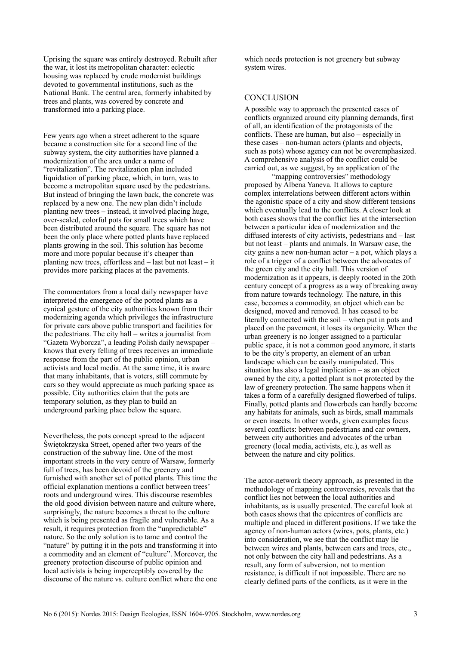Uprising the square was entirely destroyed. Rebuilt after the war, it lost its metropolitan character: eclectic housing was replaced by crude modernist buildings devoted to governmental institutions, such as the National Bank. The central area, formerly inhabited by trees and plants, was covered by concrete and transformed into a parking place.

Few years ago when a street adherent to the square became a construction site for a second line of the subway system, the city authorities have planned a modernization of the area under a name of "revitalization". The revitalization plan included liquidation of parking place, which, in turn, was to become a metropolitan square used by the pedestrians. But instead of bringing the lawn back, the concrete was replaced by a new one. The new plan didn't include planting new trees – instead, it involved placing huge, over-scaled, colorful pots for small trees which have been distributed around the square. The square has not been the only place where potted plants have replaced plants growing in the soil. This solution has become more and more popular because it's cheaper than planting new trees, effortless and – last but not least – it provides more parking places at the pavements.

The commentators from a local daily newspaper have interpreted the emergence of the potted plants as a cynical gesture of the city authorities known from their modernizing agenda which privileges the infrastructure for private cars above public transport and facilities for the pedestrians. The city hall – writes a journalist from "Gazeta Wyborcza", a leading Polish daily newspaper – knows that every felling of trees receives an immediate response from the part of the public opinion, urban activists and local media. At the same time, it is aware that many inhabitants, that is voters, still commute by cars so they would appreciate as much parking space as possible. City authorities claim that the pots are temporary solution, as they plan to build an underground parking place below the square.

Nevertheless, the pots concept spread to the adjacent Świętokrzyska Street, opened after two years of the construction of the subway line. One of the most important streets in the very centre of Warsaw, formerly full of trees, has been devoid of the greenery and furnished with another set of potted plants. This time the official explanation mentions a conflict between trees' roots and underground wires. This discourse resembles the old good division between nature and culture where, surprisingly, the nature becomes a threat to the culture which is being presented as fragile and vulnerable. As a result, it requires protection from the "unpredictable" nature. So the only solution is to tame and control the "nature" by putting it in the pots and transforming it into a commodity and an element of "culture". Moreover, the greenery protection discourse of public opinion and local activists is being imperceptibly covered by the discourse of the nature vs. culture conflict where the one which needs protection is not greenery but subway system wires.

## **CONCLUSION**

A possible way to approach the presented cases of conflicts organized around city planning demands, first of all, an identification of the protagonists of the conflicts. These are human, but also – especially in these cases – non-human actors (plants and objects, such as pots) whose agency can not be overemphasized. A comprehensive analysis of the conflict could be carried out, as we suggest, by an application of the

 "mapping controversies" methodology proposed by Albena Yaneva. It allows to capture complex interrelations between different actors within the agonistic space of a city and show different tensions which eventually lead to the conflicts. A closer look at both cases shows that the conflict lies at the intersection between a particular idea of modernization and the diffused interests of city activists, pedestrians and – last but not least – plants and animals. In Warsaw case, the city gains a new non-human actor – a pot, which plays a role of a trigger of a conflict between the advocates of the green city and the city hall. This version of modernization as it appears, is deeply rooted in the 20th century concept of a progress as a way of breaking away from nature towards technology. The nature, in this case, becomes a commodity, an object which can be designed, moved and removed. It has ceased to be literally connected with the soil – when put in pots and placed on the pavement, it loses its organicity. When the urban greenery is no longer assigned to a particular public space, it is not a common good anymore, it starts to be the city's property, an element of an urban landscape which can be easily manipulated. This situation has also a legal implication – as an object owned by the city, a potted plant is not protected by the law of greenery protection. The same happens when it takes a form of a carefully designed flowerbed of tulips. Finally, potted plants and flowerbeds can hardly become any habitats for animals, such as birds, small mammals or even insects. In other words, given examples focus several conflicts: between pedestrians and car owners, between city authorities and advocates of the urban greenery (local media, activists, etc.), as well as between the nature and city politics.

The actor-network theory approach, as presented in the methodology of mapping controversies, reveals that the conflict lies not between the local authorities and inhabitants, as is usually presented. The careful look at both cases shows that the epicentres of conflicts are multiple and placed in different positions. If we take the agency of non-human actors (wires, pots, plants, etc.) into consideration, we see that the conflict may lie between wires and plants, between cars and trees, etc., not only between the city hall and pedestrians. As a result, any form of subversion, not to mention resistance, is difficult if not impossible. There are no clearly defined parts of the conflicts, as it were in the